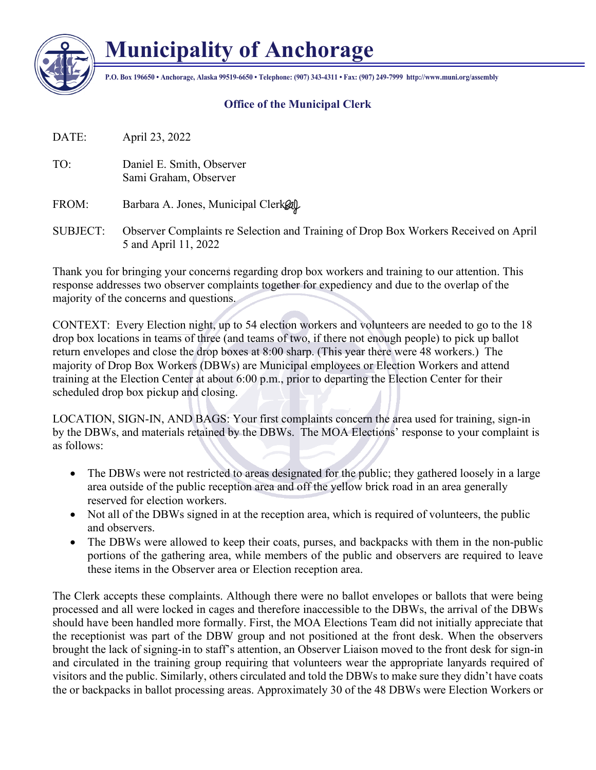

## **Municipality of Anchorage**

**P.O. Box 196650 • Anchorage, Alaska 99519-6650 • Telephone: (907) 343-4311 • Fax: (907) 249-7999 http://www.muni.org/assembly**

## **Office of the Municipal Clerk**

DATE: April 23, 2022

TO: Daniel E. Smith, Observer Sami Graham, Observer

FROM: Barbara A. Jones, Municipal Clerk $\mathcal{R}$ 

SUBJECT: Observer Complaints re Selection and Training of Drop Box Workers Received on April 5 and April 11, 2022

Thank you for bringing your concerns regarding drop box workers and training to our attention. This response addresses two observer complaints together for expediency and due to the overlap of the majority of the concerns and questions.

CONTEXT: Every Election night, up to 54 election workers and volunteers are needed to go to the 18 drop box locations in teams of three (and teams of two, if there not enough people) to pick up ballot return envelopes and close the drop boxes at 8:00 sharp. (This year there were 48 workers.) The majority of Drop Box Workers (DBWs) are Municipal employees or Election Workers and attend training at the Election Center at about 6:00 p.m., prior to departing the Election Center for their scheduled drop box pickup and closing.

LOCATION, SIGN-IN, AND BAGS: Your first complaints concern the area used for training, sign-in by the DBWs, and materials retained by the DBWs. The MOA Elections' response to your complaint is as follows:

- The DBWs were not restricted to areas designated for the public; they gathered loosely in a large area outside of the public reception area and off the yellow brick road in an area generally reserved for election workers.
- Not all of the DBWs signed in at the reception area, which is required of volunteers, the public and observers.
- The DBWs were allowed to keep their coats, purses, and backpacks with them in the non-public portions of the gathering area, while members of the public and observers are required to leave these items in the Observer area or Election reception area.

The Clerk accepts these complaints. Although there were no ballot envelopes or ballots that were being processed and all were locked in cages and therefore inaccessible to the DBWs, the arrival of the DBWs should have been handled more formally. First, the MOA Elections Team did not initially appreciate that the receptionist was part of the DBW group and not positioned at the front desk. When the observers brought the lack of signing-in to staff's attention, an Observer Liaison moved to the front desk for sign-in and circulated in the training group requiring that volunteers wear the appropriate lanyards required of visitors and the public. Similarly, others circulated and told the DBWs to make sure they didn't have coats the or backpacks in ballot processing areas. Approximately 30 of the 48 DBWs were Election Workers or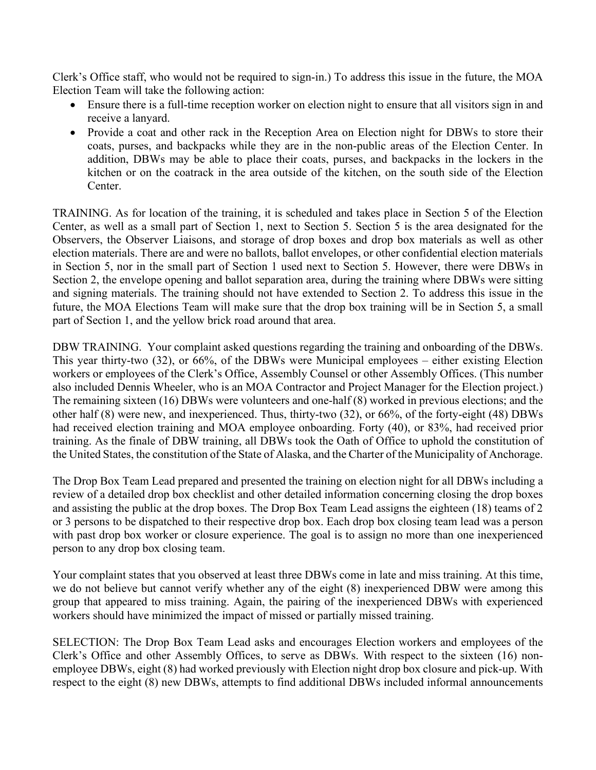Clerk's Office staff, who would not be required to sign-in.) To address this issue in the future, the MOA Election Team will take the following action:

- Ensure there is a full-time reception worker on election night to ensure that all visitors sign in and receive a lanyard.
- Provide a coat and other rack in the Reception Area on Election night for DBWs to store their coats, purses, and backpacks while they are in the non-public areas of the Election Center. In addition, DBWs may be able to place their coats, purses, and backpacks in the lockers in the kitchen or on the coatrack in the area outside of the kitchen, on the south side of the Election Center.

TRAINING. As for location of the training, it is scheduled and takes place in Section 5 of the Election Center, as well as a small part of Section 1, next to Section 5. Section 5 is the area designated for the Observers, the Observer Liaisons, and storage of drop boxes and drop box materials as well as other election materials. There are and were no ballots, ballot envelopes, or other confidential election materials in Section 5, nor in the small part of Section 1 used next to Section 5. However, there were DBWs in Section 2, the envelope opening and ballot separation area, during the training where DBWs were sitting and signing materials. The training should not have extended to Section 2. To address this issue in the future, the MOA Elections Team will make sure that the drop box training will be in Section 5, a small part of Section 1, and the yellow brick road around that area.

DBW TRAINING. Your complaint asked questions regarding the training and onboarding of the DBWs. This year thirty-two (32), or 66%, of the DBWs were Municipal employees – either existing Election workers or employees of the Clerk's Office, Assembly Counsel or other Assembly Offices. (This number also included Dennis Wheeler, who is an MOA Contractor and Project Manager for the Election project.) The remaining sixteen (16) DBWs were volunteers and one-half (8) worked in previous elections; and the other half (8) were new, and inexperienced. Thus, thirty-two (32), or 66%, of the forty-eight (48) DBWs had received election training and MOA employee onboarding. Forty (40), or 83%, had received prior training. As the finale of DBW training, all DBWs took the Oath of Office to uphold the constitution of the United States, the constitution of the State of Alaska, and the Charter of the Municipality of Anchorage.

The Drop Box Team Lead prepared and presented the training on election night for all DBWs including a review of a detailed drop box checklist and other detailed information concerning closing the drop boxes and assisting the public at the drop boxes. The Drop Box Team Lead assigns the eighteen (18) teams of 2 or 3 persons to be dispatched to their respective drop box. Each drop box closing team lead was a person with past drop box worker or closure experience. The goal is to assign no more than one inexperienced person to any drop box closing team.

Your complaint states that you observed at least three DBWs come in late and miss training. At this time, we do not believe but cannot verify whether any of the eight (8) inexperienced DBW were among this group that appeared to miss training. Again, the pairing of the inexperienced DBWs with experienced workers should have minimized the impact of missed or partially missed training.

SELECTION: The Drop Box Team Lead asks and encourages Election workers and employees of the Clerk's Office and other Assembly Offices, to serve as DBWs. With respect to the sixteen (16) nonemployee DBWs, eight (8) had worked previously with Election night drop box closure and pick-up. With respect to the eight (8) new DBWs, attempts to find additional DBWs included informal announcements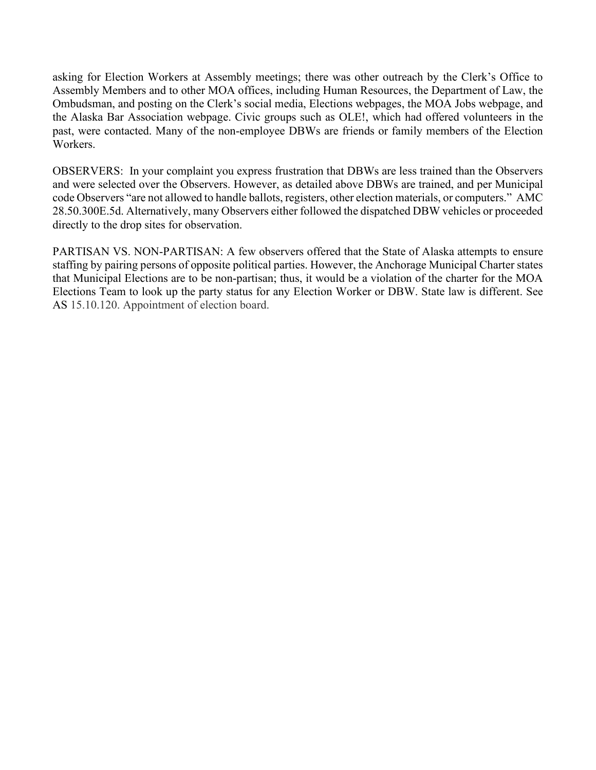asking for Election Workers at Assembly meetings; there was other outreach by the Clerk's Office to Assembly Members and to other MOA offices, including Human Resources, the Department of Law, the Ombudsman, and posting on the Clerk's social media, Elections webpages, the MOA Jobs webpage, and the Alaska Bar Association webpage. Civic groups such as OLE!, which had offered volunteers in the past, were contacted. Many of the non-employee DBWs are friends or family members of the Election Workers.

OBSERVERS: In your complaint you express frustration that DBWs are less trained than the Observers and were selected over the Observers. However, as detailed above DBWs are trained, and per Municipal code Observers "are not allowed to handle ballots, registers, other election materials, or computers." AMC 28.50.300E.5d. Alternatively, many Observers either followed the dispatched DBW vehicles or proceeded directly to the drop sites for observation.

PARTISAN VS. NON-PARTISAN: A few observers offered that the State of Alaska attempts to ensure staffing by pairing persons of opposite political parties. However, the Anchorage Municipal Charter states that Municipal Elections are to be non-partisan; thus, it would be a violation of the charter for the MOA Elections Team to look up the party status for any Election Worker or DBW. State law is different. See AS 15.10.120. Appointment of election board.